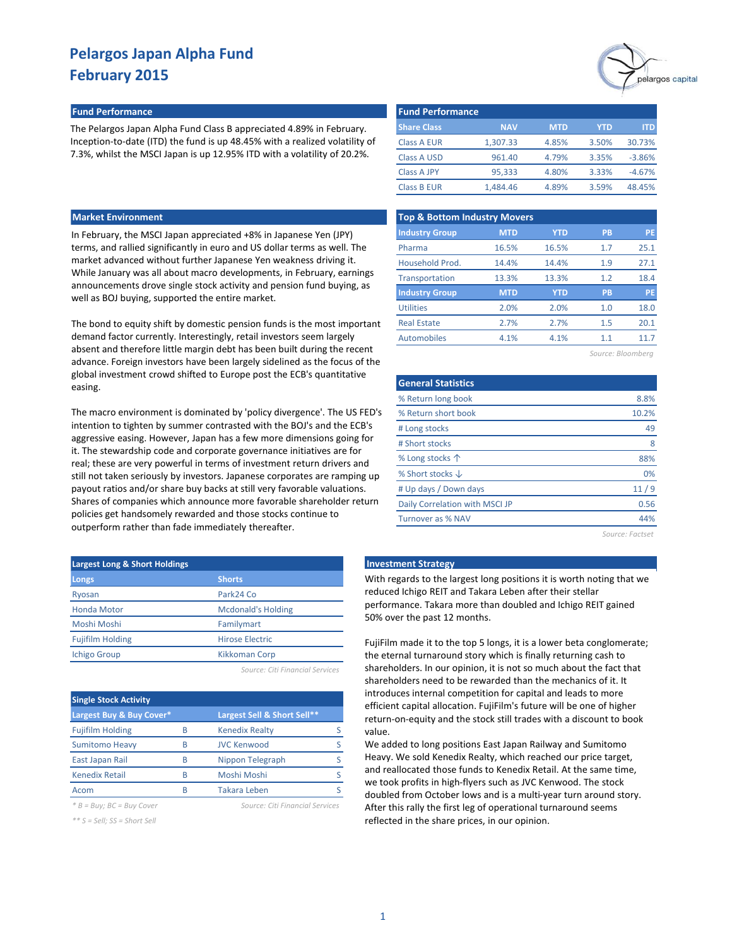#### **Fund Performance Fund Performance**

The Pelargos Japan Alpha Fund Class B appreciated 4.89% in February. Inception-to-date (ITD) the fund is up 48.45% with a realized volatility of 7.3%, whilst the MSCI Japan is up 12.95% ITD with a volatility of 20.2%.

### **Market Environment**

In February, the MSCI Japan appreciated +8% in Japanese Yen (JPY) terms, and rallied significantly in euro and US dollar terms as well. The market advanced without further Japanese Yen weakness driving it. While January was all about macro developments, in February, earnings announcements drove single stock activity and pension fund buying, as well as BOJ buying, supported the entire market.

The bond to equity shift by domestic pension funds is the most important demand factor currently. Interestingly, retail investors seem largely absent and therefore little margin debt has been built during the recent advance. Foreign investors have been largely sidelined as the focus of the global investment crowd shifted to Europe post the ECB's quantitative easing.

The macro environment is dominated by 'policy divergence'. The US FED's intention to tighten by summer contrasted with the BOJ's and the ECB's aggressive easing. However, Japan has a few more dimensions going for it. The stewardship code and corporate governance initiatives are for real; these are very powerful in terms of investment return drivers and still not taken seriously by investors. Japanese corporates are ramping up payout ratios and/or share buy backs at still very favorable valuations. Shares of companies which announce more favorable shareholder return policies get handsomely rewarded and those stocks continue to outperform rather than fade immediately thereafter.

| <b>Largest Long &amp; Short Holdings</b> |                           |  |  |  |  |
|------------------------------------------|---------------------------|--|--|--|--|
| Longs                                    | <b>Shorts</b>             |  |  |  |  |
| Ryosan                                   | Park24 Co                 |  |  |  |  |
| <b>Honda Motor</b>                       | <b>Mcdonald's Holding</b> |  |  |  |  |
| Moshi Moshi                              | Familymart                |  |  |  |  |
| <b>Fujifilm Holding</b>                  | Hirose Electric           |  |  |  |  |
| <b>Ichigo Group</b>                      | <b>Kikkoman Corp</b>      |  |  |  |  |
|                                          |                           |  |  |  |  |

*Source: Citi Financial Services*

| <b>Single Stock Activity</b> |   |                             |  |  |  |  |  |  |
|------------------------------|---|-----------------------------|--|--|--|--|--|--|
| Largest Buy & Buy Cover*     |   | Largest Sell & Short Sell** |  |  |  |  |  |  |
| <b>Fujifilm Holding</b>      | R | <b>Kenedix Realty</b>       |  |  |  |  |  |  |
| <b>Sumitomo Heavy</b>        | R | <b>JVC Kenwood</b>          |  |  |  |  |  |  |
| East Japan Rail              | R | Nippon Telegraph            |  |  |  |  |  |  |
| <b>Kenedix Retail</b>        | R | Moshi Moshi                 |  |  |  |  |  |  |
| Acom                         |   | <b>Takara Leben</b>         |  |  |  |  |  |  |

*\* B = Buy; BC = Buy Cover Source: Citi Financial Services*

*\*\* S = Sell; SS = Short Sell*



| <b>Fund Performance</b> |            |            |       |          |  |  |  |  |  |
|-------------------------|------------|------------|-------|----------|--|--|--|--|--|
| <b>Share Class</b>      | <b>NAV</b> | <b>MTD</b> | YTD   | ITD      |  |  |  |  |  |
| Class A EUR             | 1.307.33   | 4.85%      | 3.50% | 30.73%   |  |  |  |  |  |
| Class A USD             | 961.40     | 4.79%      | 3.35% | $-3.86%$ |  |  |  |  |  |
| <b>Class A JPY</b>      | 95,333     | 4.80%      | 3.33% | $-4.67%$ |  |  |  |  |  |
| Class B EUR             | 1.484.46   | 4.89%      | 3.59% | 48.45%   |  |  |  |  |  |

| <b>Top &amp; Bottom Industry Movers</b> |            |            |           |           |  |  |  |  |  |
|-----------------------------------------|------------|------------|-----------|-----------|--|--|--|--|--|
| <b>Industry Group</b>                   | <b>MTD</b> | <b>YTD</b> | <b>PB</b> | <b>PE</b> |  |  |  |  |  |
| Pharma                                  | 16.5%      | 16.5%      | 1.7       | 25.1      |  |  |  |  |  |
| Household Prod.                         | 14.4%      | 14.4%      | 1.9       | 27.1      |  |  |  |  |  |
| Transportation                          | 13.3%      | 13.3%      | 1.2       | 18.4      |  |  |  |  |  |
| <b>Industry Group</b>                   | <b>MTD</b> | <b>YTD</b> | <b>PB</b> | <b>PE</b> |  |  |  |  |  |
| <b>Utilities</b>                        | 2.0%       | 2.0%       | 1.0       | 18.0      |  |  |  |  |  |
| <b>Real Estate</b>                      | 2.7%       | 2.7%       | 1.5       | 20.1      |  |  |  |  |  |
| Automobiles                             | 4.1%       | 4.1%       | 1.1       | 11 7      |  |  |  |  |  |
|                                         |            |            |           |           |  |  |  |  |  |

| Source: Bloombera |  |  |  |  |  |
|-------------------|--|--|--|--|--|
|-------------------|--|--|--|--|--|

| <b>General Statistics</b>      |       |
|--------------------------------|-------|
| % Return long book             | 8.8%  |
| % Return short book            | 10.2% |
| # Long stocks                  | 49    |
| # Short stocks                 | 8     |
| % Long stocks $\uparrow$       | 88%   |
| % Short stocks $\downarrow$    | 0%    |
| # Up days / Down days          | 11/9  |
| Daily Correlation with MSCI JP | 0.56  |
| Turnover as % NAV              | 44%   |
|                                |       |

*Source: Factset*

#### **Late Investment Strategy**

With regards to the largest long positions it is worth noting that we reduced Ichigo REIT and Takara Leben after their stellar performance. Takara more than doubled and Ichigo REIT gained 50% over the past 12 months.

FujiFilm made it to the top 5 longs, it is a lower beta conglomerate; the eternal turnaround story which is finally returning cash to shareholders. In our opinion, it is not so much about the fact that shareholders need to be rewarded than the mechanics of it. It introduces internal competition for capital and leads to more efficient capital allocation. FujiFilm's future will be one of higher return-on-equity and the stock still trades with a discount to book value.

We added to long positions East Japan Railway and Sumitomo Heavy. We sold Kenedix Realty, which reached our price target, and reallocated those funds to Kenedix Retail. At the same time, we took profits in high-flyers such as JVC Kenwood. The stock doubled from October lows and is a multi-year turn around story. After this rally the first leg of operational turnaround seems reflected in the share prices, in our opinion.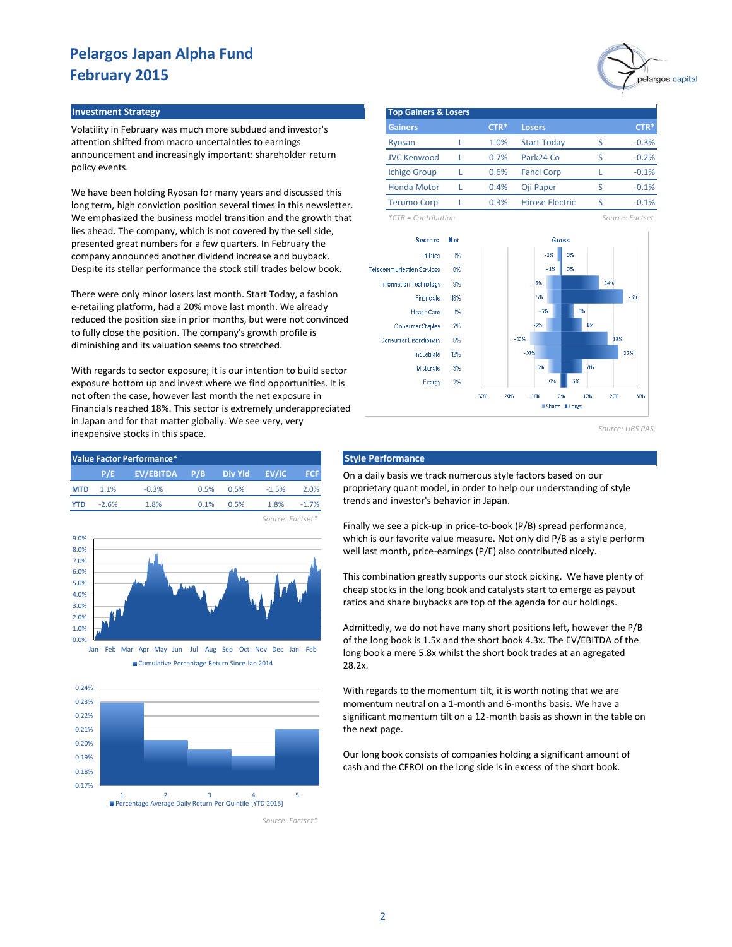Volatility in February was much more subdued and investor's attention shifted from macro uncertainties to earnings announcement and increasingly important: shareholder return policy events.

We have been holding Ryosan for many years and discussed this long term, high conviction position several times in this newsletter. We emphasized the business model transition and the growth that lies ahead. The company, which is not covered by the sell side, presented great numbers for a few quarters. In February the company announced another dividend increase and buyback. Despite its stellar performance the stock still trades below book.

There were only minor losers last month. Start Today, a fashion e-retailing platform, had a 20% move last month. We already reduced the position size in prior months, but were not convinced to fully close the position. The company's growth profile is diminishing and its valuation seems too stretched.

With regards to sector exposure; it is our intention to build sector exposure bottom up and invest where we find opportunities. It is not often the case, however last month the net exposure in Financials reached 18%. This sector is extremely underappreciated in Japan and for that matter globally. We see very, very inexpensive stocks in this space.

| Value Factor Performance* |         |                             |      |      |         |         |  |  |  |  |
|---------------------------|---------|-----------------------------|------|------|---------|---------|--|--|--|--|
|                           | P/E     | EV/EBITDA P/B Div Yld EV/IC |      |      |         | - FCF   |  |  |  |  |
| <b>MTD</b>                | $1.1\%$ | $-0.3%$                     | 0.5% | 0.5% | $-1.5%$ | 2.0%    |  |  |  |  |
| <b>YTD</b>                | $-2.6%$ | 1.8%                        | 0.1% | 0.5% | 1.8%    | $-1.7%$ |  |  |  |  |
|                           |         |                             |      |      |         |         |  |  |  |  |



Cumulative Percentage Return Since Jan 2014



*Source: Factset\**

*Source: Factset\**



**Investment Strategy Top Gainers & Losers Gainers Losers** Ryosan L 1.0% Start Today S JVC Kenwood L 0.7% Park24 Co S Ichigo Group L 0.6% Fancl Corp L Honda Motor L 0.4% Oji Paper S Terumo Corp L 0.3% Hirose Electric S 0.4% **CTR\*** -0.3% -0.2% -0.1% -0.1% -0.1% **CTR\*** 1.0% 0.7% 0.6% 0.3%

*\*CTR = Contribution Source: Factset*



*Source: UBS PAS*

#### **Style Performance**

On a daily basis we track numerous style factors based on our proprietary quant model, in order to help our understanding of style trends and investor's behavior in Japan.

Finally we see a pick-up in price-to-book (P/B) spread performance, which is our favorite value measure. Not only did P/B as a style perform well last month, price-earnings (P/E) also contributed nicely.

This combination greatly supports our stock picking. We have plenty of cheap stocks in the long book and catalysts start to emerge as payout ratios and share buybacks are top of the agenda for our holdings.

Admittedly, we do not have many short positions left, however the P/B of the long book is 1.5x and the short book 4.3x. The EV/EBITDA of the long book a mere 5.8x whilst the short book trades at an agregated 28.2x.

With regards to the momentum tilt, it is worth noting that we are momentum neutral on a 1-month and 6-months basis. We have a significant momentum tilt on a 12-month basis as shown in the table on the next page.

Our long book consists of companies holding a significant amount of cash and the CFROI on the long side is in excess of the short book.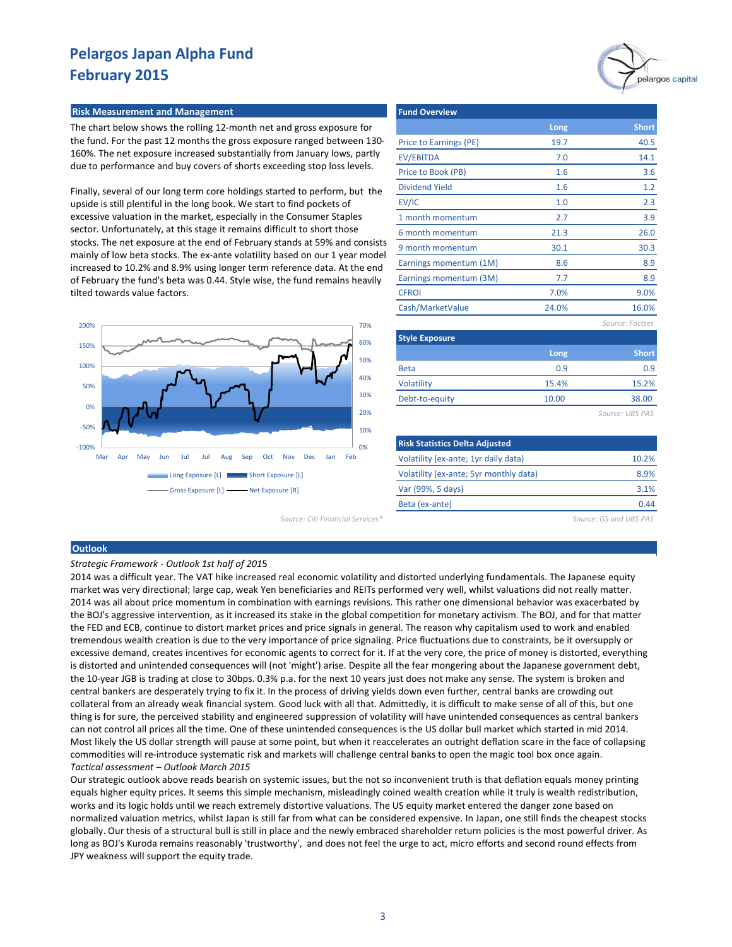#### **Risk Measurement and Management Fund Overview Adventure Controller Controller Fund**

The chart below shows the rolling 12-month net and gross exposure for the fund. For the past 12 months the gross exposure ranged between 130- 160%. The net exposure increased substantially from January lows, partly due to performance and buy covers of shorts exceeding stop loss levels.

Finally, several of our long term core holdings started to perform, but the upside is still plentiful in the long book. We start to find pockets of excessive valuation in the market, especially in the Consumer Staples sector. Unfortunately, at this stage it remains difficult to short those stocks. The net exposure at the end of February stands at 59% and consists mainly of low beta stocks. The ex-ante volatility based on our 1 year model increased to 10.2% and 8.9% using longer term reference data. At the end of February the fund's beta was 0.44. Style wise, the fund remains heavily tilted towards value factors.



|                        |       | pelargos capita |
|------------------------|-------|-----------------|
| <b>Fund Overview</b>   |       |                 |
|                        | Long  | <b>Short</b>    |
| Price to Earnings (PE) | 19.7  | 40.5            |
| EV/EBITDA              | 7.0   | 14.1            |
| Price to Book (PB)     | 1.6   | 3.6             |
| <b>Dividend Yield</b>  | 1.6   | 1.2             |
| EV/IC                  | 1.0   | 2.3             |
| 1 month momentum       | 2.7   | 3.9             |
| 6 month momentum       | 21.3  | 26.0            |
| 9 month momentum       | 30.1  | 30.3            |
| Earnings momentum (1M) | 8.6   | 8.9             |
| Earnings momentum (3M) | 7.7   | 8.9             |
| <b>CFROI</b>           | 7.0%  | 9.0%            |
| Cash/MarketValue       | 24.0% | 16.0%           |
|                        |       | Source: Factset |
| <b>Style Exposure</b>  |       |                 |
|                        | Long  | <b>Short</b>    |

 10.00 15.4%

| Source: URS |  |  |
|-------------|--|--|
|             |  |  |

15.2% 38.00

0.9 0.9

| <b>Risk Statistics Delta Adjusted</b>  |       |
|----------------------------------------|-------|
| Volatility (ex-ante; 1yr daily data)   | 10.2% |
| Volatility (ex-ante; 5yr monthly data) | 8.9%  |
| Var (99%, 5 days)                      | 3.1%  |
| Beta (ex-ante)                         | 0 44  |

*Source: Citi Financial Services\* Source: GS and UBS PAS*

Beta **Volatility** Debt-to-equity

#### **Outlook**

#### *Strategic Framework - Outlook 1st half of 201*5

2014 was a difficult year. The VAT hike increased real economic volatility and distorted underlying fundamentals. The Japanese equity market was very directional; large cap, weak Yen beneficiaries and REITs performed very well, whilst valuations did not really matter. 2014 was all about price momentum in combination with earnings revisions. This rather one dimensional behavior was exacerbated by the BOJ's aggressive intervention, as it increased its stake in the global competition for monetary activism. The BOJ, and for that matter the FED and ECB, continue to distort market prices and price signals in general. The reason why capitalism used to work and enabled tremendous wealth creation is due to the very importance of price signaling. Price fluctuations due to constraints, be it oversupply or excessive demand, creates incentives for economic agents to correct for it. If at the very core, the price of money is distorted, everything is distorted and unintended consequences will (not 'might') arise. Despite all the fear mongering about the Japanese government debt, the 10-year JGB is trading at close to 30bps. 0.3% p.a. for the next 10 years just does not make any sense. The system is broken and central bankers are desperately trying to fix it. In the process of driving yields down even further, central banks are crowding out collateral from an already weak financial system. Good luck with all that. Admittedly, it is difficult to make sense of all of this, but one thing is for sure, the perceived stability and engineered suppression of volatility will have unintended consequences as central bankers can not control all prices all the time. One of these unintended consequences is the US dollar bull market which started in mid 2014. Most likely the US dollar strength will pause at some point, but when it reaccelerates an outright deflation scare in the face of collapsing commodities will re-introduce systematic risk and markets will challenge central banks to open the magic tool box once again. *Tactical assessment – Outlook March 2015*

Our strategic outlook above reads bearish on systemic issues, but the not so inconvenient truth is that deflation equals money printing equals higher equity prices. It seems this simple mechanism, misleadingly coined wealth creation while it truly is wealth redistribution, works and its logic holds until we reach extremely distortive valuations. The US equity market entered the danger zone based on normalized valuation metrics, whilst Japan is still far from what can be considered expensive. In Japan, one still finds the cheapest stocks globally. Our thesis of a structural bull is still in place and the newly embraced shareholder return policies is the most powerful driver. As long as BOJ's Kuroda remains reasonably 'trustworthy', and does not feel the urge to act, micro efforts and second round effects from JPY weakness will support the equity trade.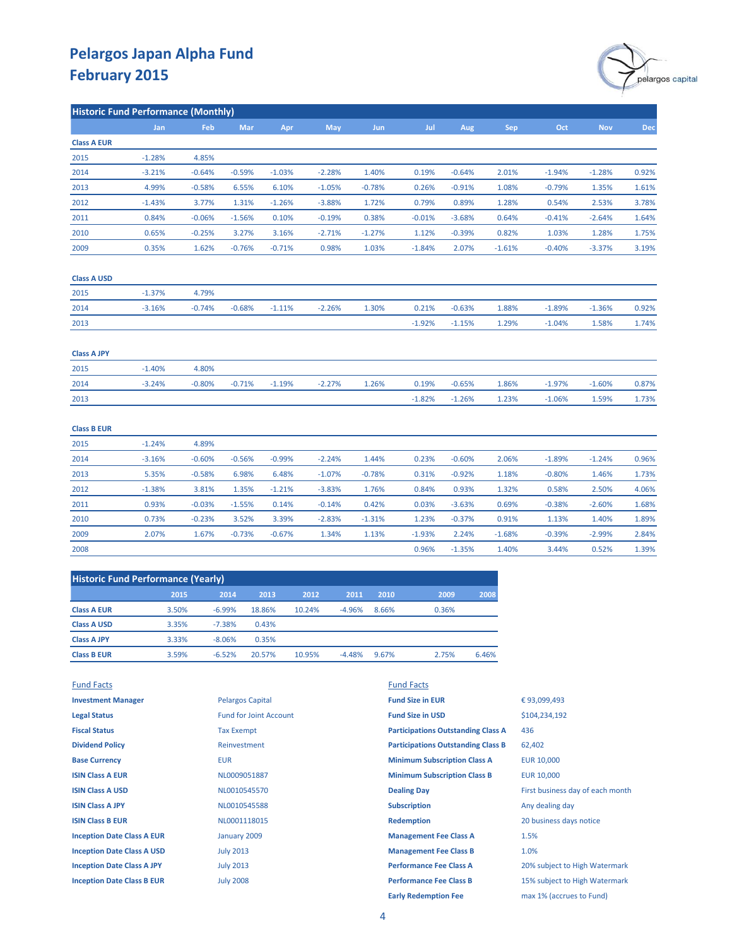

| <b>Historic Fund Performance (Monthly)</b> |            |            |          |          |            |            |          |          |            |          |            |            |
|--------------------------------------------|------------|------------|----------|----------|------------|------------|----------|----------|------------|----------|------------|------------|
|                                            | <b>Jan</b> | <b>Feb</b> | Mar      | Apr      | <b>May</b> | <b>Jun</b> | Jul      | Aug      | <b>Sep</b> | Oct      | <b>Nov</b> | <b>Dec</b> |
| <b>Class A EUR</b>                         |            |            |          |          |            |            |          |          |            |          |            |            |
| 2015                                       | $-1.28%$   | 4.85%      |          |          |            |            |          |          |            |          |            |            |
| 2014                                       | $-3.21%$   | $-0.64%$   | $-0.59%$ | $-1.03%$ | $-2.28%$   | 1.40%      | 0.19%    | $-0.64%$ | 2.01%      | $-1.94%$ | $-1.28%$   | 0.92%      |
| 2013                                       | 4.99%      | $-0.58%$   | 6.55%    | 6.10%    | $-1.05%$   | $-0.78%$   | 0.26%    | $-0.91%$ | 1.08%      | $-0.79%$ | 1.35%      | 1.61%      |
| 2012                                       | $-1.43%$   | 3.77%      | 1.31%    | $-1.26%$ | $-3.88%$   | 1.72%      | 0.79%    | 0.89%    | 1.28%      | 0.54%    | 2.53%      | 3.78%      |
| 2011                                       | 0.84%      | $-0.06%$   | $-1.56%$ | 0.10%    | $-0.19%$   | 0.38%      | $-0.01%$ | $-3.68%$ | 0.64%      | $-0.41%$ | $-2.64%$   | 1.64%      |
| 2010                                       | 0.65%      | $-0.25%$   | 3.27%    | 3.16%    | $-2.71%$   | $-1.27%$   | 1.12%    | $-0.39%$ | 0.82%      | 1.03%    | 1.28%      | 1.75%      |
| 2009                                       | 0.35%      | 1.62%      | $-0.76%$ | $-0.71%$ | 0.98%      | 1.03%      | $-1.84%$ | 2.07%    | $-1.61%$   | $-0.40%$ | $-3.37%$   | 3.19%      |
| <b>Class A USD</b>                         |            |            |          |          |            |            |          |          |            |          |            |            |
| 2015                                       | $-1.37%$   | 4.79%      |          |          |            |            |          |          |            |          |            |            |
| 2014                                       | $-3.16%$   | $-0.74%$   | $-0.68%$ | $-1.11%$ | $-2.26%$   | 1.30%      | 0.21%    | $-0.63%$ | 1.88%      | $-1.89%$ | $-1.36%$   | 0.92%      |
| 2013                                       |            |            |          |          |            |            | $-1.92%$ | $-1.15%$ | 1.29%      | $-1.04%$ | 1.58%      | 1.74%      |
| <b>Class A JPY</b>                         |            |            |          |          |            |            |          |          |            |          |            |            |
| 2015                                       | $-1.40%$   | 4.80%      |          |          |            |            |          |          |            |          |            |            |
| 2014                                       | $-3.24%$   | $-0.80%$   | $-0.71%$ | $-1.19%$ | $-2.27%$   | 1.26%      | 0.19%    | $-0.65%$ | 1.86%      | $-1.97%$ | $-1.60%$   | 0.87%      |
| 2013                                       |            |            |          |          |            |            | $-1.82%$ | $-1.26%$ | 1.23%      | $-1.06%$ | 1.59%      | 1.73%      |
| <b>Class B EUR</b>                         |            |            |          |          |            |            |          |          |            |          |            |            |
| 2015                                       | $-1.24%$   | 4.89%      |          |          |            |            |          |          |            |          |            |            |
| 2014                                       | $-3.16%$   | $-0.60%$   | $-0.56%$ | $-0.99%$ | $-2.24%$   | 1.44%      | 0.23%    | $-0.60%$ | 2.06%      | $-1.89%$ | $-1.24%$   | 0.96%      |
| 2013                                       | 5.35%      | $-0.58%$   | 6.98%    | 6.48%    | $-1.07%$   | $-0.78%$   | 0.31%    | $-0.92%$ | 1.18%      | $-0.80%$ | 1.46%      | 1.73%      |
| 2012                                       | $-1.38%$   | 3.81%      | 1.35%    | $-1.21%$ | $-3.83%$   | 1.76%      | 0.84%    | 0.93%    | 1.32%      | 0.58%    | 2.50%      | 4.06%      |
| 2011                                       | 0.93%      | $-0.03%$   | $-1.55%$ | 0.14%    | $-0.14%$   | 0.42%      | 0.03%    | $-3.63%$ | 0.69%      | $-0.38%$ | $-2.60%$   | 1.68%      |
| 2010                                       | 0.73%      | $-0.23%$   | 3.52%    | 3.39%    | $-2.83%$   | $-1.31%$   | 1.23%    | $-0.37%$ | 0.91%      | 1.13%    | 1.40%      | 1.89%      |
| 2009                                       | 2.07%      | 1.67%      | $-0.73%$ | $-0.67%$ | 1.34%      | 1.13%      | $-1.93%$ | 2.24%    | $-1.68%$   | $-0.39%$ | $-2.99%$   | 2.84%      |
| 2008                                       |            |            |          |          |            |            | 0.96%    | $-1.35%$ | 1.40%      | 3.44%    | 0.52%      | 1.39%      |

| <b>Historic Fund Performance (Yearly)</b> |       |          |        |        |          |       |       |       |  |  |
|-------------------------------------------|-------|----------|--------|--------|----------|-------|-------|-------|--|--|
|                                           | 2015  | 2014     | 2013   | 2012   | 2011     | 2010  | 2009  | 2008  |  |  |
| <b>Class A EUR</b>                        | 3.50% | $-6.99%$ | 18.86% | 10.24% | $-4.96%$ | 8.66% | 0.36% |       |  |  |
| <b>Class A USD</b>                        | 3.35% | $-7.38%$ | 0.43%  |        |          |       |       |       |  |  |
| <b>Class A JPY</b>                        | 3.33% | $-8.06%$ | 0.35%  |        |          |       |       |       |  |  |
| <b>Class B EUR</b>                        | 3.59% | $-6.52%$ | 20.57% | 10.95% | $-4.48%$ | 9.67% | 2.75% | 6.46% |  |  |

| <b>Fund Facts</b>                 |                               | <b>Fund Facts</b>                         |                                  |
|-----------------------------------|-------------------------------|-------------------------------------------|----------------------------------|
| <b>Investment Manager</b>         | <b>Pelargos Capital</b>       | <b>Fund Size in EUR</b>                   | €93,099,493                      |
| <b>Legal Status</b>               | <b>Fund for Joint Account</b> | <b>Fund Size in USD</b>                   | \$104,234,192                    |
| <b>Fiscal Status</b>              | <b>Tax Exempt</b>             | <b>Participations Outstanding Class A</b> | 436                              |
| <b>Dividend Policy</b>            | Reinvestment                  | <b>Participations Outstanding Class B</b> | 62,402                           |
| <b>Base Currency</b>              | <b>EUR</b>                    | <b>Minimum Subscription Class A</b>       | <b>EUR 10,000</b>                |
| <b>ISIN Class A EUR</b>           | NL0009051887                  | <b>Minimum Subscription Class B</b>       | <b>EUR 10,000</b>                |
| <b>ISIN Class A USD</b>           | NL0010545570                  | <b>Dealing Day</b>                        | First business day of each month |
| <b>ISIN Class A JPY</b>           | NL0010545588                  | <b>Subscription</b>                       | Any dealing day                  |
| <b>ISIN Class B EUR</b>           | NL0001118015                  | <b>Redemption</b>                         | 20 business days notice          |
| <b>Inception Date Class A EUR</b> | January 2009                  | <b>Management Fee Class A</b>             | 1.5%                             |
| <b>Inception Date Class A USD</b> | <b>July 2013</b>              | <b>Management Fee Class B</b>             | 1.0%                             |
| <b>Inception Date Class A JPY</b> | <b>July 2013</b>              | <b>Performance Fee Class A</b>            | 20% subject to High Watermark    |
| <b>Inception Date Class B EUR</b> | <b>July 2008</b>              | <b>Performance Fee Class B</b>            | 15% subject to High Watermark    |
|                                   |                               | <b>Early Redemption Fee</b>               | max 1% (accrues to Fund)         |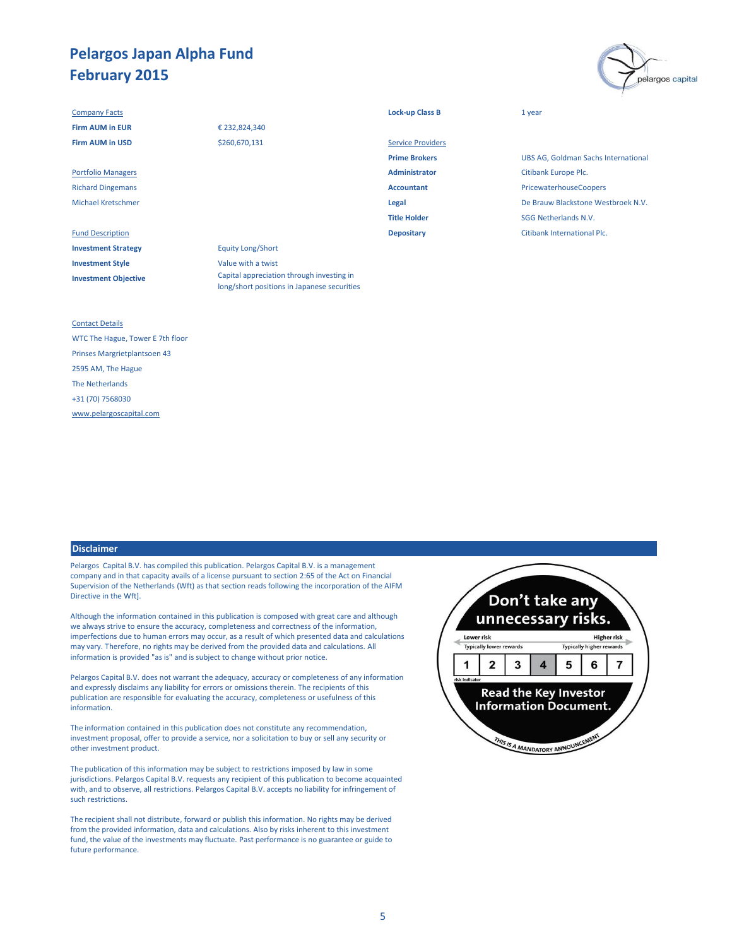#### **Company Facts Lock-up Class B** 1 year

**Investment Strategy** Equity Long/Short **Investment Style** Value with a twist **Investment Objective**

### € 232,824,340 \$260,670,131

Fund Description **Depositary** Citibank International Plc. Capital appreciation through investing in long/short positions in Japanese securities

| <b>Firm AUM in EUR</b>    | € 232,824,340 |                          |                             |
|---------------------------|---------------|--------------------------|-----------------------------|
| <b>Firm AUM in USD</b>    | \$260,670,131 | <b>Service Providers</b> |                             |
|                           |               | <b>Prime Brokers</b>     | <b>UBS AG, Goldman S</b>    |
| <b>Portfolio Managers</b> |               | Administrator            | <b>Citibank Europe Plc.</b> |
| <b>Richard Dingemans</b>  |               | <b>Accountant</b>        | PricewaterhouseCo           |
| <b>Michael Kretschmer</b> |               | Legal                    | De Brauw Blackston          |
|                           |               | <b>Title Holder</b>      | <b>SGG Netherlands N.</b>   |
|                           |               |                          |                             |

**UBS AG, Goldman Sachs International** Richard Dingemans **Accountant** PricewaterhouseCoopers Michael Kretschmer **Legal** De Brauw Blackstone Westbroek N.V. **SGG Netherlands N.V.** 

pelargos capital

#### Contact Details

WTC The Hague, Tower E 7th floor Prinses Margrietplantsoen 43 2595 AM, The Hague The Netherlands +31 (70) 7568030 [www.pelargoscapital.com](http://www.pelargoscapital.com/)

#### **Disclaimer**

Pelargos Capital B.V. has compiled this publication. Pelargos Capital B.V. is a management company and in that capacity avails of a license pursuant to section 2:65 of the Act on Financial Supervision of the Netherlands (Wft) as that section reads following the incorporation of the AIFM Directive in the Wft].

Although the information contained in this publication is composed with great care and although we always strive to ensure the accuracy, completeness and correctness of the information, imperfections due to human errors may occur, as a result of which presented data and calculations may vary. Therefore, no rights may be derived from the provided data and calculations. All information is provided "as is" and is subject to change without prior notice.

Pelargos Capital B.V. does not warrant the adequacy, accuracy or completeness of any information and expressly disclaims any liability for errors or omissions therein. The recipients of this publication are responsible for evaluating the accuracy, completeness or usefulness of this information.

The information contained in this publication does not constitute any recommendation, investment proposal, offer to provide a service, nor a solicitation to buy or sell any security or other investment product.

The publication of this information may be subject to restrictions imposed by law in some jurisdictions. Pelargos Capital B.V. requests any recipient of this publication to become acquainted with, and to observe, all restrictions. Pelargos Capital B.V. accepts no liability for infringement of such restrictions.

The recipient shall not distribute, forward or publish this information. No rights may be derived from the provided information, data and calculations. Also by risks inherent to this investment fund, the value of the investments may fluctuate. Past performance is no guarantee or guide to future performance.